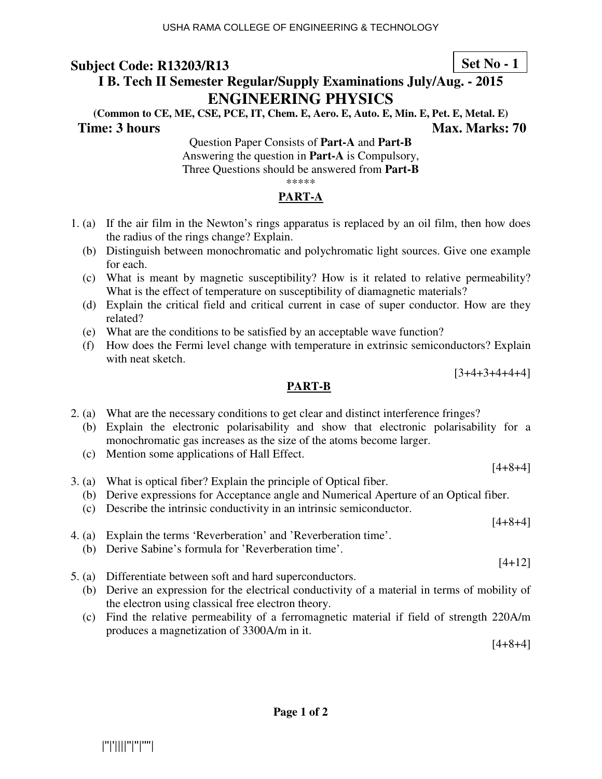# **I B. Tech II Semester Regular/Supply Examinations July/Aug. - 2015 ENGINEERING PHYSICS**

**(Common to CE, ME, CSE, PCE, IT, Chem. E, Aero. E, Auto. E, Min. E, Pet. E, Metal. E) Time: 3 hours Max. Marks: 70 Max. Marks: 70** 

Question Paper Consists of **Part-A** and **Part-B** Answering the question in **Part-A** is Compulsory, Three Questions should be answered from **Part-B** \*\*\*\*\*

### **PART-A**

- 1. (a) If the air film in the Newton's rings apparatus is replaced by an oil film, then how does the radius of the rings change? Explain.
	- (b) Distinguish between monochromatic and polychromatic light sources. Give one example for each.
	- (c) What is meant by magnetic susceptibility? How is it related to relative permeability? What is the effect of temperature on susceptibility of diamagnetic materials?
	- (d) Explain the critical field and critical current in case of super conductor. How are they related?
	- (e) What are the conditions to be satisfied by an acceptable wave function?
	- (f) How does the Fermi level change with temperature in extrinsic semiconductors? Explain with neat sketch.

 $[3+4+3+4+4+4]$ 

#### **PART-B**

- 2. (a) What are the necessary conditions to get clear and distinct interference fringes?
	- (b) Explain the electronic polarisability and show that electronic polarisability for a monochromatic gas increases as the size of the atoms become larger.
	- (c) Mention some applications of Hall Effect.
- 3. (a) What is optical fiber? Explain the principle of Optical fiber. (b) Derive expressions for Acceptance angle and Numerical Aperture of an Optical fiber.
	- (c) Describe the intrinsic conductivity in an intrinsic semiconductor.
- 4. (a) Explain the terms 'Reverberation' and 'Reverberation time'.
	- (b) Derive Sabine's formula for 'Reverberation time'.
- 5. (a) Differentiate between soft and hard superconductors.
	- (b) Derive an expression for the electrical conductivity of a material in terms of mobility of the electron using classical free electron theory.
	- (c) Find the relative permeability of a ferromagnetic material if field of strength 220A/m produces a magnetization of 3300A/m in it.

[4+8+4]

**Set No - 1**

[4+8+4]

 $[4+8+4]$ 

[4+12]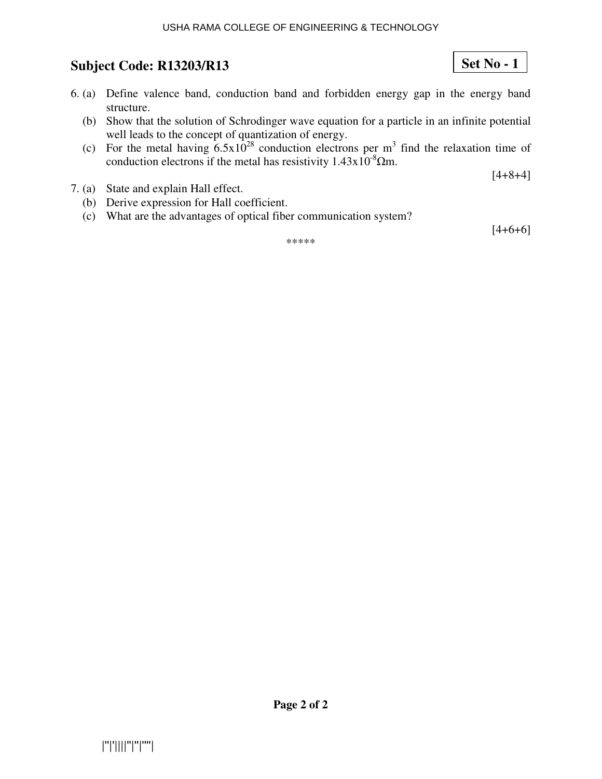#### USHA RAMA COLLEGE OF ENGINEERING & TECHNOLOGY

# **Subject Code: R13203/R13**

- 6. (a) Define valence band, conduction band and forbidden energy gap in the energy band structure.
	- (b) Show that the solution of Schrodinger wave equation for a particle in an infinite potential well leads to the concept of quantization of energy.
	- (c) For the metal having  $6.5x10^{28}$  conduction electrons per m<sup>3</sup> find the relaxation time of conduction electrons if the metal has resistivity  $1.43 \times 10^{-8}$  Qm.

 $[4+8+4]$ 

**Set No - 1**

- 7. (a) State and explain Hall effect.
	- (b) Derive expression for Hall coefficient.
	- (c) What are the advantages of optical fiber communication system?

\*\*\*\*\*

 $[4+6+6]$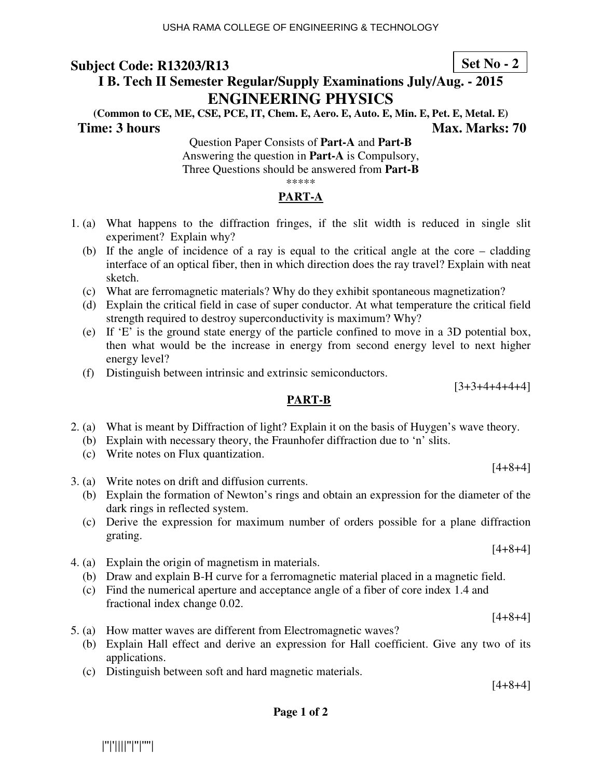# **I B. Tech II Semester Regular/Supply Examinations July/Aug. - 2015 ENGINEERING PHYSICS**

**(Common to CE, ME, CSE, PCE, IT, Chem. E, Aero. E, Auto. E, Min. E, Pet. E, Metal. E) Time: 3 hours** Max. Marks: 70

Question Paper Consists of **Part-A** and **Part-B** Answering the question in **Part-A** is Compulsory, Three Questions should be answered from **Part-B** \*\*\*\*\*

## **PART-A**

- 1. (a) What happens to the diffraction fringes, if the slit width is reduced in single slit experiment? Explain why?
	- (b) If the angle of incidence of a ray is equal to the critical angle at the core cladding interface of an optical fiber, then in which direction does the ray travel? Explain with neat sketch.
	- (c) What are ferromagnetic materials? Why do they exhibit spontaneous magnetization?
	- (d) Explain the critical field in case of super conductor. At what temperature the critical field strength required to destroy superconductivity is maximum? Why?
	- (e) If 'E' is the ground state energy of the particle confined to move in a 3D potential box, then what would be the increase in energy from second energy level to next higher energy level?
	- (f) Distinguish between intrinsic and extrinsic semiconductors.

#### **PART-B**

- 2. (a) What is meant by Diffraction of light? Explain it on the basis of Huygen's wave theory.
	- (b) Explain with necessary theory, the Fraunhofer diffraction due to 'n' slits.
	- (c) Write notes on Flux quantization.
- 3. (a) Write notes on drift and diffusion currents.
	- (b) Explain the formation of Newton's rings and obtain an expression for the diameter of the dark rings in reflected system.
	- (c) Derive the expression for maximum number of orders possible for a plane diffraction grating.
- 4. (a) Explain the origin of magnetism in materials.
	- (b) Draw and explain B-H curve for a ferromagnetic material placed in a magnetic field.
	- (c) Find the numerical aperture and acceptance angle of a fiber of core index 1.4 and fractional index change 0.02.
- 5. (a) How matter waves are different from Electromagnetic waves?
	- (b) Explain Hall effect and derive an expression for Hall coefficient. Give any two of its applications.
	- (c) Distinguish between soft and hard magnetic materials.

[4+8+4]

**Page 1 of 2** 

|''|'||||''|''|''''|

**Set No - 2**

 $[3+3+4+4+4+4]$ 

 $[4+8+4]$ 

 $[4+8+4]$ 

 $[4+8+4]$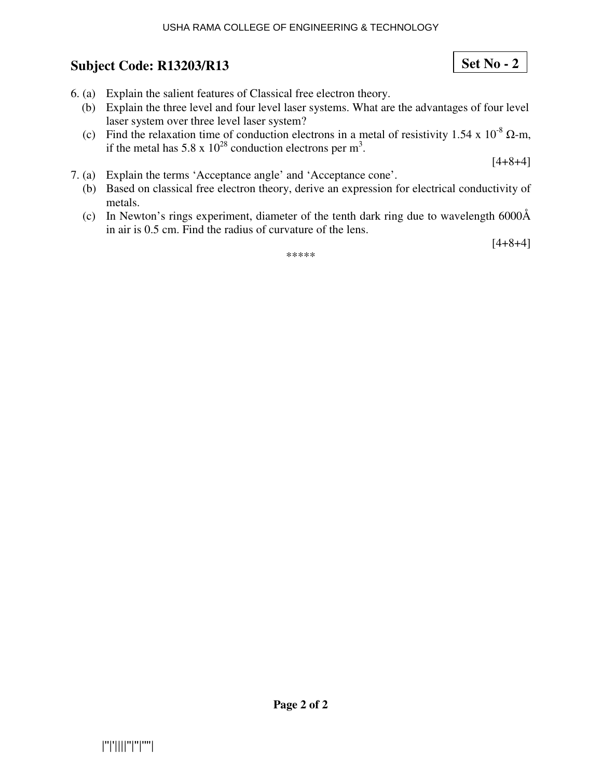- 6. (a) Explain the salient features of Classical free electron theory.
	- (b) Explain the three level and four level laser systems. What are the advantages of four level laser system over three level laser system?
	- (c) Find the relaxation time of conduction electrons in a metal of resistivity 1.54 x  $10^{-8}$   $\Omega$ -m, if the metal has 5.8 x  $10^{28}$  conduction electrons per m<sup>3</sup>.

 $[4+8+4]$ 

- 7. (a) Explain the terms 'Acceptance angle' and 'Acceptance cone'.
	- (b) Based on classical free electron theory, derive an expression for electrical conductivity of metals.
	- (c) In Newton's rings experiment, diameter of the tenth dark ring due to wavelength 6000Å in air is 0.5 cm. Find the radius of curvature of the lens.

 $[4+8+4]$ 

\*\*\*\*\*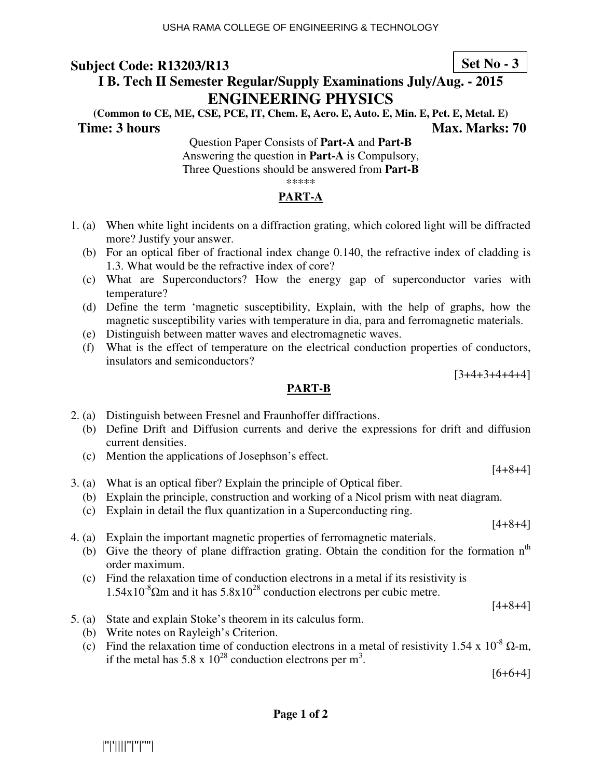# **I B. Tech II Semester Regular/Supply Examinations July/Aug. - 2015 ENGINEERING PHYSICS**

**(Common to CE, ME, CSE, PCE, IT, Chem. E, Aero. E, Auto. E, Min. E, Pet. E, Metal. E) Time: 3 hours Max. Marks: 70 Max. Marks: 70** 

Question Paper Consists of **Part-A** and **Part-B** Answering the question in **Part-A** is Compulsory, Three Questions should be answered from **Part-B** \*\*\*\*\*

### **PART-A**

- 1. (a) When white light incidents on a diffraction grating, which colored light will be diffracted more? Justify your answer.
	- (b) For an optical fiber of fractional index change 0.140, the refractive index of cladding is 1.3. What would be the refractive index of core?
	- (c) What are Superconductors? How the energy gap of superconductor varies with temperature?
	- (d) Define the term 'magnetic susceptibility, Explain, with the help of graphs, how the magnetic susceptibility varies with temperature in dia, para and ferromagnetic materials.
	- (e) Distinguish between matter waves and electromagnetic waves.
	- (f) What is the effect of temperature on the electrical conduction properties of conductors, insulators and semiconductors?

 $[3+4+3+4+4+4]$ 

#### **PART-B**

- 2. (a) Distinguish between Fresnel and Fraunhoffer diffractions.
	- (b) Define Drift and Diffusion currents and derive the expressions for drift and diffusion current densities.
	- (c) Mention the applications of Josephson's effect.
- 3. (a) What is an optical fiber? Explain the principle of Optical fiber.
	- (b) Explain the principle, construction and working of a Nicol prism with neat diagram. (c) Explain in detail the flux quantization in a Superconducting ring.

 $[4+8+4]$ 

- 4. (a) Explain the important magnetic properties of ferromagnetic materials.
	- (b) Give the theory of plane diffraction grating. Obtain the condition for the formation  $n<sup>th</sup>$ order maximum.
	- (c) Find the relaxation time of conduction electrons in a metal if its resistivity is  $1.54x10^{8}\Omega$ m and it has  $5.8x10^{28}$  conduction electrons per cubic metre.

[4+8+4]

[4+8+4]

- 5. (a) State and explain Stoke's theorem in its calculus form.
	- (b) Write notes on Rayleigh's Criterion.
	- (c) Find the relaxation time of conduction electrons in a metal of resistivity 1.54 x  $10^{-8}$   $\Omega$ -m, if the metal has 5.8 x  $10^{28}$  conduction electrons per m<sup>3</sup>.

[6+6+4]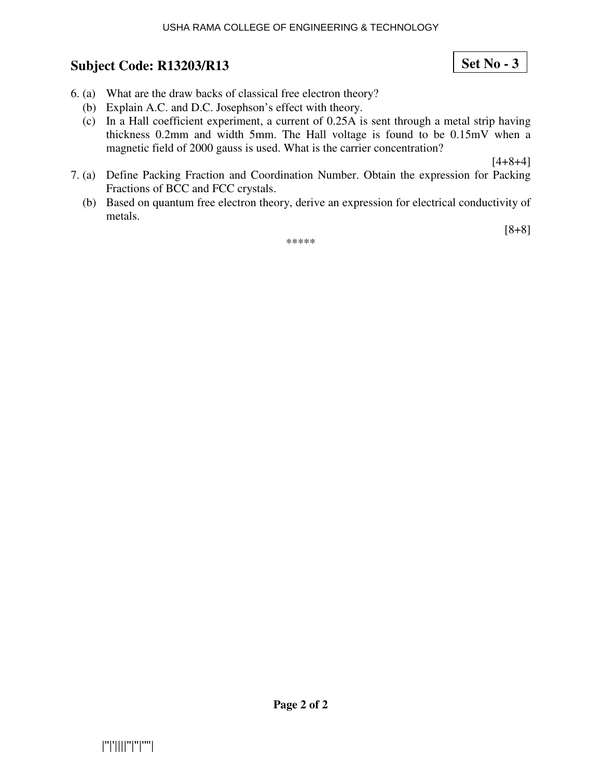#### USHA RAMA COLLEGE OF ENGINEERING & TECHNOLOGY

## **Subject Code: R13203/R13**

**Page 2 of 2** 

|''|'||||''|''|''''|

- 6. (a) What are the draw backs of classical free electron theory?
	- (b) Explain A.C. and D.C. Josephson's effect with theory.
	- (c) In a Hall coefficient experiment, a current of 0.25A is sent through a metal strip having thickness 0.2mm and width 5mm. The Hall voltage is found to be 0.15mV when a magnetic field of 2000 gauss is used. What is the carrier concentration?

 $[4+8+4]$ 

[8+8]

- 7. (a) Define Packing Fraction and Coordination Number. Obtain the expression for Packing Fractions of BCC and FCC crystals.
	- (b) Based on quantum free electron theory, derive an expression for electrical conductivity of metals.

\*\*\*\*\*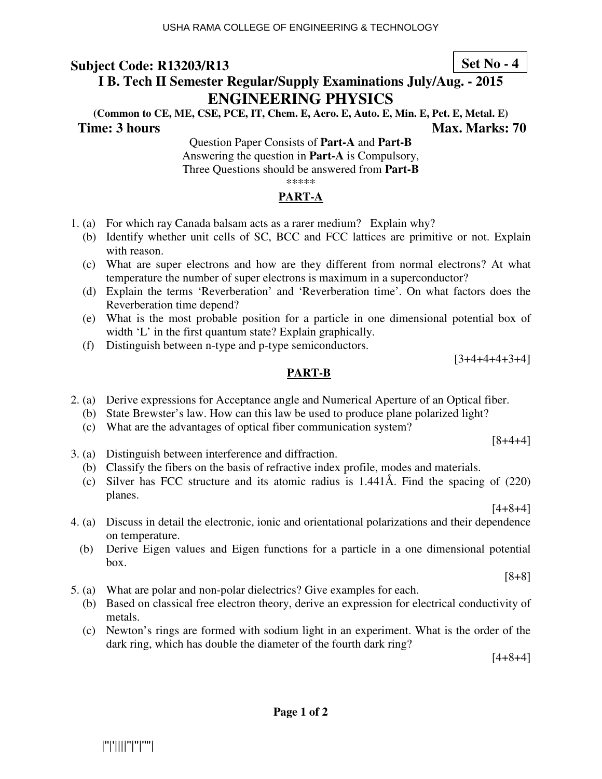**Set No - 4**

# **I B. Tech II Semester Regular/Supply Examinations July/Aug. - 2015 ENGINEERING PHYSICS**

**(Common to CE, ME, CSE, PCE, IT, Chem. E, Aero. E, Auto. E, Min. E, Pet. E, Metal. E) Time: 3 hours** Max. Marks: 70

Question Paper Consists of **Part-A** and **Part-B** Answering the question in **Part-A** is Compulsory, Three Questions should be answered from **Part-B** \*\*\*\*\*

### **PART-A**

- 1. (a) For which ray Canada balsam acts as a rarer medium? Explain why?
	- (b) Identify whether unit cells of SC, BCC and FCC lattices are primitive or not. Explain with reason.
	- (c) What are super electrons and how are they different from normal electrons? At what temperature the number of super electrons is maximum in a superconductor?
	- (d) Explain the terms 'Reverberation' and 'Reverberation time'. On what factors does the Reverberation time depend?
	- (e) What is the most probable position for a particle in one dimensional potential box of width 'L' in the first quantum state? Explain graphically.
	- (f) Distinguish between n-type and p-type semiconductors.

[3+4+4+4+3+4]

#### **PART-B**

- 2. (a) Derive expressions for Acceptance angle and Numerical Aperture of an Optical fiber.
	- (b) State Brewster's law. How can this law be used to produce plane polarized light?
	- (c) What are the advantages of optical fiber communication system?

3. (a) Distinguish between interference and diffraction.

- (b) Classify the fibers on the basis of refractive index profile, modes and materials.
- (c) Silver has FCC structure and its atomic radius is 1.441Å. Find the spacing of (220) planes.

[4+8+4]

[8+4+4]

- 4. (a) Discuss in detail the electronic, ionic and orientational polarizations and their dependence on temperature.
	- (b) Derive Eigen values and Eigen functions for a particle in a one dimensional potential box.

[8+8]

- 5. (a) What are polar and non-polar dielectrics? Give examples for each.
	- (b) Based on classical free electron theory, derive an expression for electrical conductivity of metals.
	- (c) Newton's rings are formed with sodium light in an experiment. What is the order of the dark ring, which has double the diameter of the fourth dark ring?

[4+8+4]